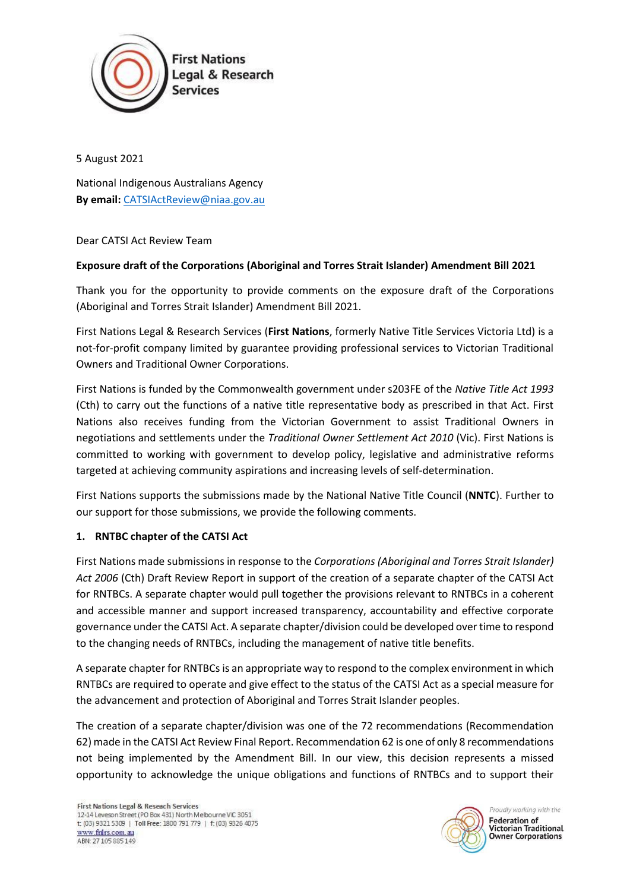

5 August 2021

National Indigenous Australians Agency **By email:** CATSIActReview@niaa.gov.au

## Dear CATSI Act Review Team

## **Exposure draft of the Corporations (Aboriginal and Torres Strait Islander) Amendment Bill 2021**

Thank you for the opportunity to provide comments on the exposure draft of the Corporations (Aboriginal and Torres Strait Islander) Amendment Bill 2021.

First Nations Legal & Research Services (**First Nations**, formerly Native Title Services Victoria Ltd) is a not-for-profit company limited by guarantee providing professional services to Victorian Traditional Owners and Traditional Owner Corporations.

First Nations is funded by the Commonwealth government under s203FE of the *Native Title Act 1993* (Cth) to carry out the functions of a native title representative body as prescribed in that Act. First Nations also receives funding from the Victorian Government to assist Traditional Owners in negotiations and settlements under the *Traditional Owner Settlement Act 2010* (Vic). First Nations is committed to working with government to develop policy, legislative and administrative reforms targeted at achieving community aspirations and increasing levels of self-determination.

First Nations supports the submissions made by the National Native Title Council (**NNTC**). Further to our support for those submissions, we provide the following comments.

## **1. RNTBC chapter of the CATSI Act**

First Nations made submissions in response to the *Corporations (Aboriginal and Torres Strait Islander) Act 2006* (Cth) Draft Review Report in support of the creation of a separate chapter of the CATSI Act for RNTBCs. A separate chapter would pull together the provisions relevant to RNTBCs in a coherent and accessible manner and support increased transparency, accountability and effective corporate governance under the CATSI Act. A separate chapter/division could be developed over time to respond to the changing needs of RNTBCs, including the management of native title benefits.

A separate chapter for RNTBCs is an appropriate way to respond to the complex environment in which RNTBCs are required to operate and give effect to the status of the CATSI Act as a special measure for the advancement and protection of Aboriginal and Torres Strait Islander peoples.

The creation of a separate chapter/division was one of the 72 recommendations (Recommendation 62) made in the CATSI Act Review Final Report. Recommendation 62 is one of only 8 recommendations not being implemented by the Amendment Bill. In our view, this decision represents a missed opportunity to acknowledge the unique obligations and functions of RNTBCs and to support their



Proudly working with the **Federation of Victorian Traditional Owner Corporations**